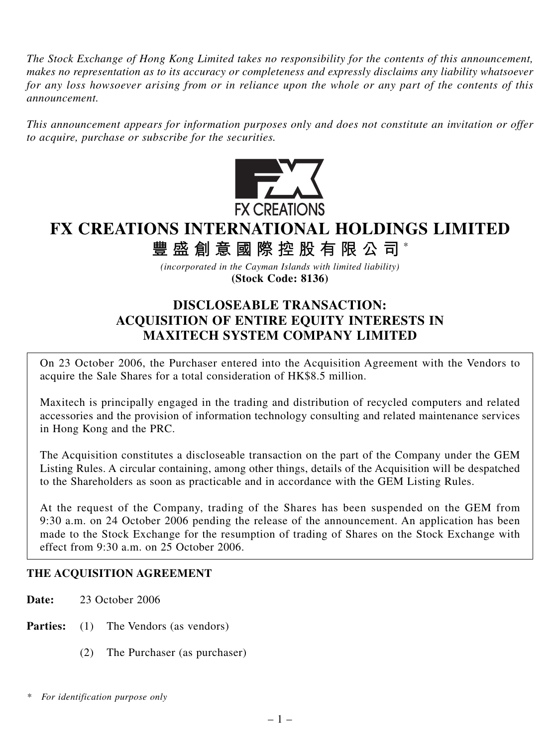*The Stock Exchange of Hong Kong Limited takes no responsibility for the contents of this announcement, makes no representation as to its accuracy or completeness and expressly disclaims any liability whatsoever for any loss howsoever arising from or in reliance upon the whole or any part of the contents of this announcement.*

*This announcement appears for information purposes only and does not constitute an invitation or offer to acquire, purchase or subscribe for the securities.*



# **FX CREATIONS INTERNATIONAL HOLDINGS LIMITED**

**豐盛創意國際控股有限公司** \*

*(incorporated in the Cayman Islands with limited liability)* **(Stock Code: 8136)**

## **DISCLOSEABLE TRANSACTION: ACQUISITION OF ENTIRE EQUITY INTERESTS IN MAXITECH SYSTEM COMPANY LIMITED**

On 23 October 2006, the Purchaser entered into the Acquisition Agreement with the Vendors to acquire the Sale Shares for a total consideration of HK\$8.5 million.

Maxitech is principally engaged in the trading and distribution of recycled computers and related accessories and the provision of information technology consulting and related maintenance services in Hong Kong and the PRC.

The Acquisition constitutes a discloseable transaction on the part of the Company under the GEM Listing Rules. A circular containing, among other things, details of the Acquisition will be despatched to the Shareholders as soon as practicable and in accordance with the GEM Listing Rules.

At the request of the Company, trading of the Shares has been suspended on the GEM from 9:30 a.m. on 24 October 2006 pending the release of the announcement. An application has been made to the Stock Exchange for the resumption of trading of Shares on the Stock Exchange with effect from 9:30 a.m. on 25 October 2006.

## **THE ACQUISITION AGREEMENT**

**Date:** 23 October 2006

**Parties:** (1) The Vendors (as vendors)

(2) The Purchaser (as purchaser)

*<sup>\*</sup> For identification purpose only*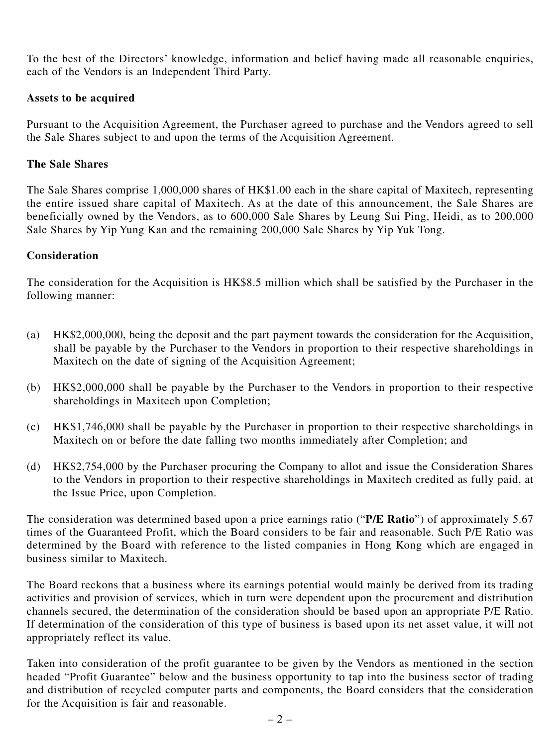To the best of the Directors' knowledge, information and belief having made all reasonable enquiries, each of the Vendors is an Independent Third Party.

#### **Assets to be acquired**

Pursuant to the Acquisition Agreement, the Purchaser agreed to purchase and the Vendors agreed to sell the Sale Shares subject to and upon the terms of the Acquisition Agreement.

#### **The Sale Shares**

The Sale Shares comprise 1,000,000 shares of HK\$1.00 each in the share capital of Maxitech, representing the entire issued share capital of Maxitech. As at the date of this announcement, the Sale Shares are beneficially owned by the Vendors, as to 600,000 Sale Shares by Leung Sui Ping, Heidi, as to 200,000 Sale Shares by Yip Yung Kan and the remaining 200,000 Sale Shares by Yip Yuk Tong.

#### **Consideration**

The consideration for the Acquisition is HK\$8.5 million which shall be satisfied by the Purchaser in the following manner:

- (a) HK\$2,000,000, being the deposit and the part payment towards the consideration for the Acquisition, shall be payable by the Purchaser to the Vendors in proportion to their respective shareholdings in Maxitech on the date of signing of the Acquisition Agreement;
- (b) HK\$2,000,000 shall be payable by the Purchaser to the Vendors in proportion to their respective shareholdings in Maxitech upon Completion;
- (c) HK\$1,746,000 shall be payable by the Purchaser in proportion to their respective shareholdings in Maxitech on or before the date falling two months immediately after Completion; and
- (d) HK\$2,754,000 by the Purchaser procuring the Company to allot and issue the Consideration Shares to the Vendors in proportion to their respective shareholdings in Maxitech credited as fully paid, at the Issue Price, upon Completion.

The consideration was determined based upon a price earnings ratio ("**P/E Ratio**") of approximately 5.67 times of the Guaranteed Profit, which the Board considers to be fair and reasonable. Such P/E Ratio was determined by the Board with reference to the listed companies in Hong Kong which are engaged in business similar to Maxitech.

The Board reckons that a business where its earnings potential would mainly be derived from its trading activities and provision of services, which in turn were dependent upon the procurement and distribution channels secured, the determination of the consideration should be based upon an appropriate P/E Ratio. If determination of the consideration of this type of business is based upon its net asset value, it will not appropriately reflect its value.

Taken into consideration of the profit guarantee to be given by the Vendors as mentioned in the section headed "Profit Guarantee" below and the business opportunity to tap into the business sector of trading and distribution of recycled computer parts and components, the Board considers that the consideration for the Acquisition is fair and reasonable.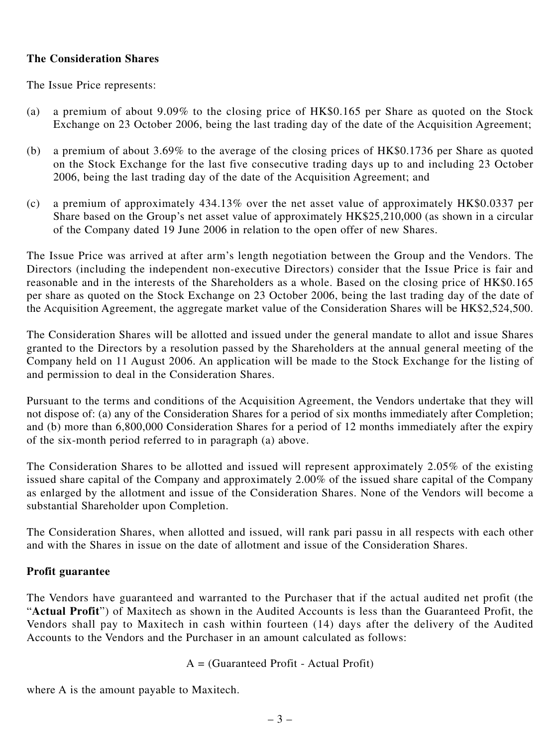#### **The Consideration Shares**

The Issue Price represents:

- (a) a premium of about 9.09% to the closing price of HK\$0.165 per Share as quoted on the Stock Exchange on 23 October 2006, being the last trading day of the date of the Acquisition Agreement;
- (b) a premium of about 3.69% to the average of the closing prices of HK\$0.1736 per Share as quoted on the Stock Exchange for the last five consecutive trading days up to and including 23 October 2006, being the last trading day of the date of the Acquisition Agreement; and
- (c) a premium of approximately 434.13% over the net asset value of approximately HK\$0.0337 per Share based on the Group's net asset value of approximately HK\$25,210,000 (as shown in a circular of the Company dated 19 June 2006 in relation to the open offer of new Shares.

The Issue Price was arrived at after arm's length negotiation between the Group and the Vendors. The Directors (including the independent non-executive Directors) consider that the Issue Price is fair and reasonable and in the interests of the Shareholders as a whole. Based on the closing price of HK\$0.165 per share as quoted on the Stock Exchange on 23 October 2006, being the last trading day of the date of the Acquisition Agreement, the aggregate market value of the Consideration Shares will be HK\$2,524,500.

The Consideration Shares will be allotted and issued under the general mandate to allot and issue Shares granted to the Directors by a resolution passed by the Shareholders at the annual general meeting of the Company held on 11 August 2006. An application will be made to the Stock Exchange for the listing of and permission to deal in the Consideration Shares.

Pursuant to the terms and conditions of the Acquisition Agreement, the Vendors undertake that they will not dispose of: (a) any of the Consideration Shares for a period of six months immediately after Completion; and (b) more than 6,800,000 Consideration Shares for a period of 12 months immediately after the expiry of the six-month period referred to in paragraph (a) above.

The Consideration Shares to be allotted and issued will represent approximately 2.05% of the existing issued share capital of the Company and approximately 2.00% of the issued share capital of the Company as enlarged by the allotment and issue of the Consideration Shares. None of the Vendors will become a substantial Shareholder upon Completion.

The Consideration Shares, when allotted and issued, will rank pari passu in all respects with each other and with the Shares in issue on the date of allotment and issue of the Consideration Shares.

#### **Profit guarantee**

The Vendors have guaranteed and warranted to the Purchaser that if the actual audited net profit (the "**Actual Profit**") of Maxitech as shown in the Audited Accounts is less than the Guaranteed Profit, the Vendors shall pay to Maxitech in cash within fourteen (14) days after the delivery of the Audited Accounts to the Vendors and the Purchaser in an amount calculated as follows:

 $A = (Guaranteed Profit - Actual Profit)$ 

where A is the amount payable to Maxitech.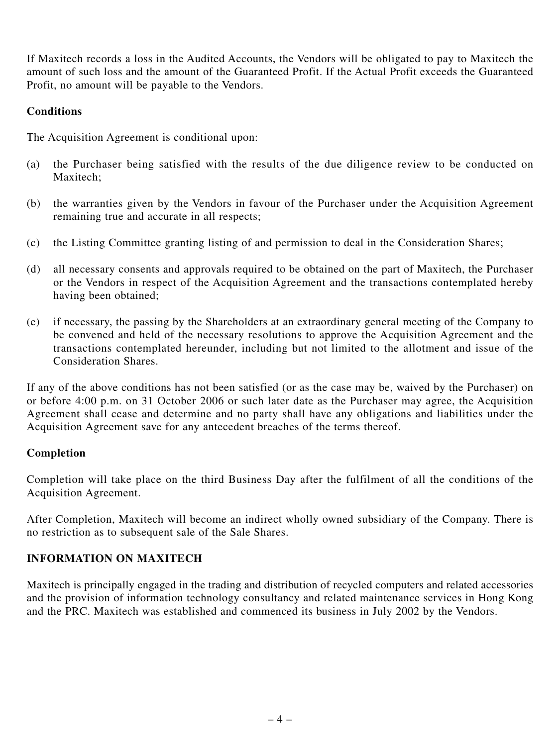If Maxitech records a loss in the Audited Accounts, the Vendors will be obligated to pay to Maxitech the amount of such loss and the amount of the Guaranteed Profit. If the Actual Profit exceeds the Guaranteed Profit, no amount will be payable to the Vendors.

#### **Conditions**

The Acquisition Agreement is conditional upon:

- (a) the Purchaser being satisfied with the results of the due diligence review to be conducted on Maxitech;
- (b) the warranties given by the Vendors in favour of the Purchaser under the Acquisition Agreement remaining true and accurate in all respects;
- (c) the Listing Committee granting listing of and permission to deal in the Consideration Shares;
- (d) all necessary consents and approvals required to be obtained on the part of Maxitech, the Purchaser or the Vendors in respect of the Acquisition Agreement and the transactions contemplated hereby having been obtained;
- (e) if necessary, the passing by the Shareholders at an extraordinary general meeting of the Company to be convened and held of the necessary resolutions to approve the Acquisition Agreement and the transactions contemplated hereunder, including but not limited to the allotment and issue of the Consideration Shares.

If any of the above conditions has not been satisfied (or as the case may be, waived by the Purchaser) on or before 4:00 p.m. on 31 October 2006 or such later date as the Purchaser may agree, the Acquisition Agreement shall cease and determine and no party shall have any obligations and liabilities under the Acquisition Agreement save for any antecedent breaches of the terms thereof.

#### **Completion**

Completion will take place on the third Business Day after the fulfilment of all the conditions of the Acquisition Agreement.

After Completion, Maxitech will become an indirect wholly owned subsidiary of the Company. There is no restriction as to subsequent sale of the Sale Shares.

## **INFORMATION ON MAXITECH**

Maxitech is principally engaged in the trading and distribution of recycled computers and related accessories and the provision of information technology consultancy and related maintenance services in Hong Kong and the PRC. Maxitech was established and commenced its business in July 2002 by the Vendors.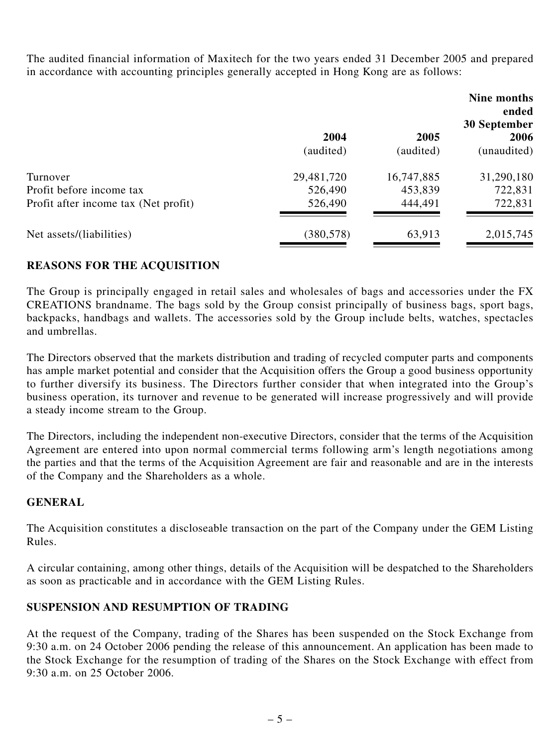The audited financial information of Maxitech for the two years ended 31 December 2005 and prepared in accordance with accounting principles generally accepted in Hong Kong are as follows:

|                                      |            |            | Nine months<br>ended<br>30 September |
|--------------------------------------|------------|------------|--------------------------------------|
|                                      | 2004       | 2005       | 2006                                 |
|                                      | (audited)  | (audited)  | (unaudited)                          |
| Turnover                             | 29,481,720 | 16,747,885 | 31,290,180                           |
| Profit before income tax             | 526,490    | 453,839    | 722,831                              |
| Profit after income tax (Net profit) | 526,490    | 444,491    | 722,831                              |
| Net assets/(liabilities)             | (380, 578) | 63,913     | 2,015,745                            |

## **REASONS FOR THE ACQUISITION**

The Group is principally engaged in retail sales and wholesales of bags and accessories under the FX CREATIONS brandname. The bags sold by the Group consist principally of business bags, sport bags, backpacks, handbags and wallets. The accessories sold by the Group include belts, watches, spectacles and umbrellas.

The Directors observed that the markets distribution and trading of recycled computer parts and components has ample market potential and consider that the Acquisition offers the Group a good business opportunity to further diversify its business. The Directors further consider that when integrated into the Group's business operation, its turnover and revenue to be generated will increase progressively and will provide a steady income stream to the Group.

The Directors, including the independent non-executive Directors, consider that the terms of the Acquisition Agreement are entered into upon normal commercial terms following arm's length negotiations among the parties and that the terms of the Acquisition Agreement are fair and reasonable and are in the interests of the Company and the Shareholders as a whole.

#### **GENERAL**

The Acquisition constitutes a discloseable transaction on the part of the Company under the GEM Listing Rules.

A circular containing, among other things, details of the Acquisition will be despatched to the Shareholders as soon as practicable and in accordance with the GEM Listing Rules.

#### **SUSPENSION AND RESUMPTION OF TRADING**

At the request of the Company, trading of the Shares has been suspended on the Stock Exchange from 9:30 a.m. on 24 October 2006 pending the release of this announcement. An application has been made to the Stock Exchange for the resumption of trading of the Shares on the Stock Exchange with effect from 9:30 a.m. on 25 October 2006.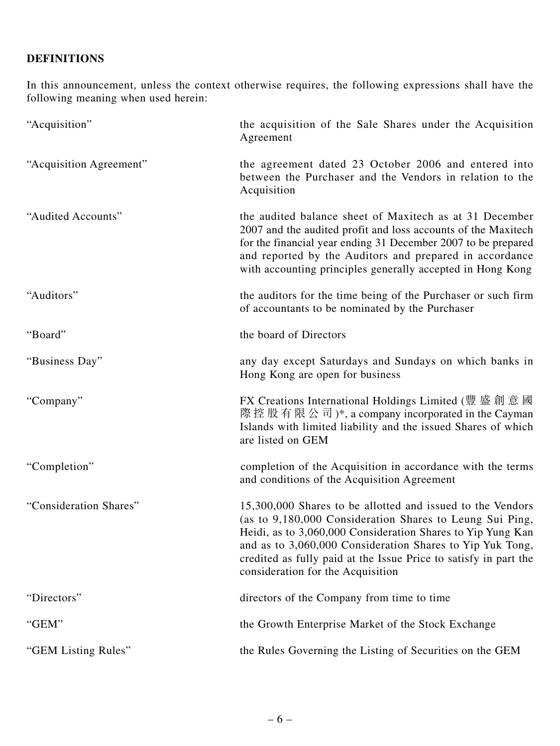## **DEFINITIONS**

In this announcement, unless the context otherwise requires, the following expressions shall have the following meaning when used herein:

| "Acquisition"           | the acquisition of the Sale Shares under the Acquisition<br>Agreement                                                                                                                                                                                                                                                                                       |
|-------------------------|-------------------------------------------------------------------------------------------------------------------------------------------------------------------------------------------------------------------------------------------------------------------------------------------------------------------------------------------------------------|
| "Acquisition Agreement" | the agreement dated 23 October 2006 and entered into<br>between the Purchaser and the Vendors in relation to the<br>Acquisition                                                                                                                                                                                                                             |
| "Audited Accounts"      | the audited balance sheet of Maxitech as at 31 December<br>2007 and the audited profit and loss accounts of the Maxitech<br>for the financial year ending 31 December 2007 to be prepared<br>and reported by the Auditors and prepared in accordance<br>with accounting principles generally accepted in Hong Kong                                          |
| "Auditors"              | the auditors for the time being of the Purchaser or such firm<br>of accountants to be nominated by the Purchaser                                                                                                                                                                                                                                            |
| "Board"                 | the board of Directors                                                                                                                                                                                                                                                                                                                                      |
| "Business Day"          | any day except Saturdays and Sundays on which banks in<br>Hong Kong are open for business                                                                                                                                                                                                                                                                   |
| "Company"               | FX Creations International Holdings Limited (豐盛創意國<br>際控股有限公司)*, a company incorporated in the Cayman<br>Islands with limited liability and the issued Shares of which<br>are listed on GEM                                                                                                                                                                 |
| "Completion"            | completion of the Acquisition in accordance with the terms<br>and conditions of the Acquisition Agreement                                                                                                                                                                                                                                                   |
| "Consideration Shares"  | 15,300,000 Shares to be allotted and issued to the Vendors<br>(as to 9,180,000 Consideration Shares to Leung Sui Ping,<br>Heidi, as to 3,060,000 Consideration Shares to Yip Yung Kan<br>and as to 3,060,000 Consideration Shares to Yip Yuk Tong,<br>credited as fully paid at the Issue Price to satisfy in part the<br>consideration for the Acquisition |
| "Directors"             | directors of the Company from time to time                                                                                                                                                                                                                                                                                                                  |
| "GEM"                   | the Growth Enterprise Market of the Stock Exchange                                                                                                                                                                                                                                                                                                          |
| "GEM Listing Rules"     | the Rules Governing the Listing of Securities on the GEM                                                                                                                                                                                                                                                                                                    |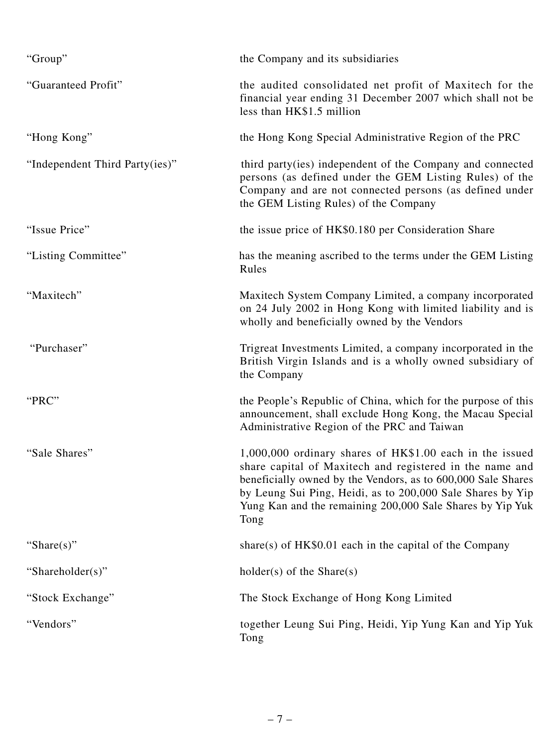| "Group"                        | the Company and its subsidiaries                                                                                                                                                                                                                                                                                        |
|--------------------------------|-------------------------------------------------------------------------------------------------------------------------------------------------------------------------------------------------------------------------------------------------------------------------------------------------------------------------|
| "Guaranteed Profit"            | the audited consolidated net profit of Maxitech for the<br>financial year ending 31 December 2007 which shall not be<br>less than HK\$1.5 million                                                                                                                                                                       |
| "Hong Kong"                    | the Hong Kong Special Administrative Region of the PRC                                                                                                                                                                                                                                                                  |
| "Independent Third Party(ies)" | third party (ies) independent of the Company and connected<br>persons (as defined under the GEM Listing Rules) of the<br>Company and are not connected persons (as defined under<br>the GEM Listing Rules) of the Company                                                                                               |
| "Issue Price"                  | the issue price of HK\$0.180 per Consideration Share                                                                                                                                                                                                                                                                    |
| "Listing Committee"            | has the meaning ascribed to the terms under the GEM Listing<br>Rules                                                                                                                                                                                                                                                    |
| "Maxitech"                     | Maxitech System Company Limited, a company incorporated<br>on 24 July 2002 in Hong Kong with limited liability and is<br>wholly and beneficially owned by the Vendors                                                                                                                                                   |
| "Purchaser"                    | Trigreat Investments Limited, a company incorporated in the<br>British Virgin Islands and is a wholly owned subsidiary of<br>the Company                                                                                                                                                                                |
| "PRC"                          | the People's Republic of China, which for the purpose of this<br>announcement, shall exclude Hong Kong, the Macau Special<br>Administrative Region of the PRC and Taiwan                                                                                                                                                |
| "Sale Shares"                  | 1,000,000 ordinary shares of HK\$1.00 each in the issued<br>share capital of Maxitech and registered in the name and<br>beneficially owned by the Vendors, as to 600,000 Sale Shares<br>by Leung Sui Ping, Heidi, as to 200,000 Sale Shares by Yip<br>Yung Kan and the remaining 200,000 Sale Shares by Yip Yuk<br>Tong |
| "Share $(s)$ "                 | share(s) of $HK$0.01$ each in the capital of the Company                                                                                                                                                                                                                                                                |
| "Shareholder(s)"               | $holder(s)$ of the Share(s)                                                                                                                                                                                                                                                                                             |
| "Stock Exchange"               | The Stock Exchange of Hong Kong Limited                                                                                                                                                                                                                                                                                 |
| "Vendors"                      | together Leung Sui Ping, Heidi, Yip Yung Kan and Yip Yuk<br>Tong                                                                                                                                                                                                                                                        |